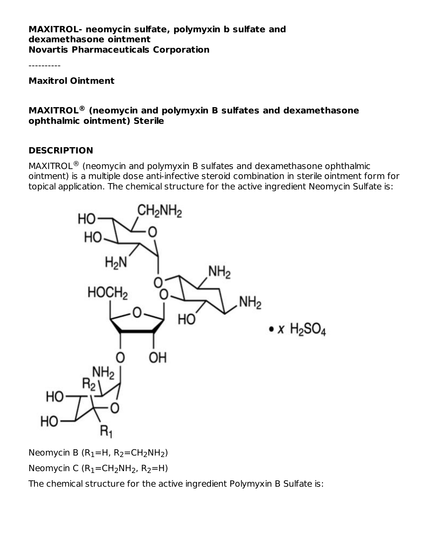----------

**Maxitrol Ointment**

**MAXITROL (neomycin and polymyxin B sulfates and dexamethasone ® ophthalmic ointment) Sterile**

#### **DESCRIPTION**

 $MAXITROL<sup>®</sup>$  (neomycin and polymyxin B sulfates and dexamethasone ophthalmic ointment) is a multiple dose anti-infective steroid combination in sterile ointment form for topical application. The chemical structure for the active ingredient Neomycin Sulfate is:



Neomycin B (R<sub>1</sub>=H, R<sub>2</sub>=CH<sub>2</sub>NH<sub>2</sub>)

Neomycin C  $(R_1=CH_2NH_2, R_2=H)$ 

The chemical structure for the active ingredient Polymyxin B Sulfate is: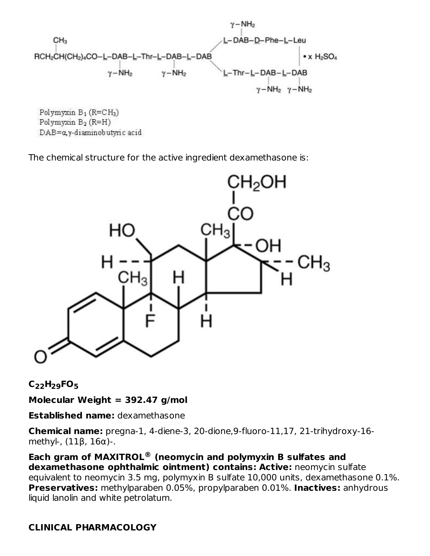$$
\begin{array}{c}\n\gamma-NH_2 \\
|\uparrow \\
\hline\nRCH_2CH(CH_2)_4CO-L-DAB-L-Thr-L-DAB-L-DAB \\
\hline\n\gamma-NH_2\n\end{array}
$$
\n
$$
\begin{array}{c}\n\chi-NH_2 \\
\downarrow\n\end{array}
$$
\n
$$
\begin{array}{c}\nL-DAB-D-Phe-L-Leu \\
\hline\n\chi H_2SO_4\n\end{array}
$$
\n
$$
\begin{array}{c}\n\chi H_2SO_4 \\
\hline\n\chi-MH_2\n\end{array}
$$
\n
$$
\begin{array}{c}\n\chi H_2SO_4 \\
\hline\n\chi-MH_2\n\end{array}
$$

Polymyxin  $B_1$  (R=CH<sub>3</sub>) Polymyxin B<sub>2</sub> (R=H) DAB=a,y-diaminobutyric acid

The chemical structure for the active ingredient dexamethasone is:



**C H FO 22 29 5**

**Molecular Weight = 392.47 g/mol**

**Established name:** dexamethasone

**Chemical name:** pregna-1, 4-diene-3, 20-dione,9-fluoro-11,17, 21-trihydroxy-16 methyl-, (11β, 16α)-.

**Each gram of MAXITROL (neomycin and polymyxin B sulfates and ®dexamethasone ophthalmic ointment) contains: Active:** neomycin sulfate equivalent to neomycin 3.5 mg, polymyxin B sulfate 10,000 units, dexamethasone 0.1%. **Preservatives:** methylparaben 0.05%, propylparaben 0.01%. **Inactives:** anhydrous liquid lanolin and white petrolatum.

## **CLINICAL PHARMACOLOGY**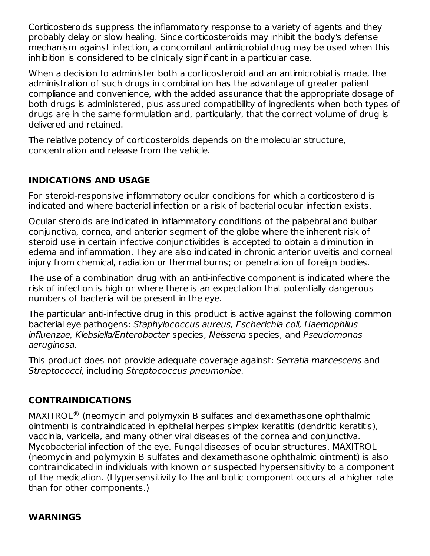Corticosteroids suppress the inflammatory response to a variety of agents and they probably delay or slow healing. Since corticosteroids may inhibit the body's defense mechanism against infection, a concomitant antimicrobial drug may be used when this inhibition is considered to be clinically significant in a particular case.

When a decision to administer both a corticosteroid and an antimicrobial is made, the administration of such drugs in combination has the advantage of greater patient compliance and convenience, with the added assurance that the appropriate dosage of both drugs is administered, plus assured compatibility of ingredients when both types of drugs are in the same formulation and, particularly, that the correct volume of drug is delivered and retained.

The relative potency of corticosteroids depends on the molecular structure, concentration and release from the vehicle.

## **INDICATIONS AND USAGE**

For steroid-responsive inflammatory ocular conditions for which a corticosteroid is indicated and where bacterial infection or a risk of bacterial ocular infection exists.

Ocular steroids are indicated in inflammatory conditions of the palpebral and bulbar conjunctiva, cornea, and anterior segment of the globe where the inherent risk of steroid use in certain infective conjunctivitides is accepted to obtain a diminution in edema and inflammation. They are also indicated in chronic anterior uveitis and corneal injury from chemical, radiation or thermal burns; or penetration of foreign bodies.

The use of a combination drug with an anti-infective component is indicated where the risk of infection is high or where there is an expectation that potentially dangerous numbers of bacteria will be present in the eye.

The particular anti-infective drug in this product is active against the following common bacterial eye pathogens: Staphylococcus aureus, Escherichia coli, Haemophilus influenzae, Klebsiella/Enterobacter species, Neisseria species, and Pseudomonas aeruginosa.

This product does not provide adequate coverage against: Serratia marcescens and Streptococci, including Streptococcus pneumoniae.

## **CONTRAINDICATIONS**

 $MAXITROL<sup>®</sup>$  (neomycin and polymyxin B sulfates and dexamethasone ophthalmic ointment) is contraindicated in epithelial herpes simplex keratitis (dendritic keratitis), vaccinia, varicella, and many other viral diseases of the cornea and conjunctiva. Mycobacterial infection of the eye. Fungal diseases of ocular structures. MAXITROL (neomycin and polymyxin B sulfates and dexamethasone ophthalmic ointment) is also contraindicated in individuals with known or suspected hypersensitivity to a component of the medication. (Hypersensitivity to the antibiotic component occurs at a higher rate than for other components.)

## **WARNINGS**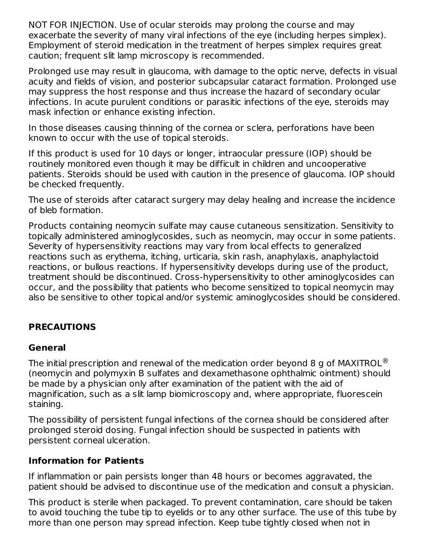NOT FOR INJECTION. Use of ocular steroids may prolong the course and may exacerbate the severity of many viral infections of the eye (including herpes simplex). Employment of steroid medication in the treatment of herpes simplex requires great caution; frequent slit lamp microscopy is recommended.

Prolonged use may result in glaucoma, with damage to the optic nerve, defects in visual acuity and fields of vision, and posterior subcapsular cataract formation. Prolonged use may suppress the host response and thus increase the hazard of secondary ocular infections. In acute purulent conditions or parasitic infections of the eye, steroids may mask infection or enhance existing infection.

In those diseases causing thinning of the cornea or sclera, perforations have been known to occur with the use of topical steroids.

If this product is used for 10 days or longer, intraocular pressure (IOP) should be routinely monitored even though it may be difficult in children and uncooperative patients. Steroids should be used with caution in the presence of glaucoma. IOP should be checked frequently.

The use of steroids after cataract surgery may delay healing and increase the incidence of bleb formation.

Products containing neomycin sulfate may cause cutaneous sensitization. Sensitivity to topically administered aminoglycosides, such as neomycin, may occur in some patients. Severity of hypersensitivity reactions may vary from local effects to generalized reactions such as erythema, itching, urticaria, skin rash, anaphylaxis, anaphylactoid reactions, or bullous reactions. If hypersensitivity develops during use of the product, treatment should be discontinued. Cross-hypersensitivity to other aminoglycosides can occur, and the possibility that patients who become sensitized to topical neomycin may also be sensitive to other topical and/or systemic aminoglycosides should be considered.

## **PRECAUTIONS**

#### **General**

The initial prescription and renewal of the medication order beyond 8 g of MAXITROL $^\circledR$ (neomycin and polymyxin B sulfates and dexamethasone ophthalmic ointment) should be made by a physician only after examination of the patient with the aid of magnification, such as a slit lamp biomicroscopy and, where appropriate, fluorescein staining.

The possibility of persistent fungal infections of the cornea should be considered after prolonged steroid dosing. Fungal infection should be suspected in patients with persistent corneal ulceration.

#### **Information for Patients**

If inflammation or pain persists longer than 48 hours or becomes aggravated, the patient should be advised to discontinue use of the medication and consult a physician.

This product is sterile when packaged. To prevent contamination, care should be taken to avoid touching the tube tip to eyelids or to any other surface. The use of this tube by more than one person may spread infection. Keep tube tightly closed when not in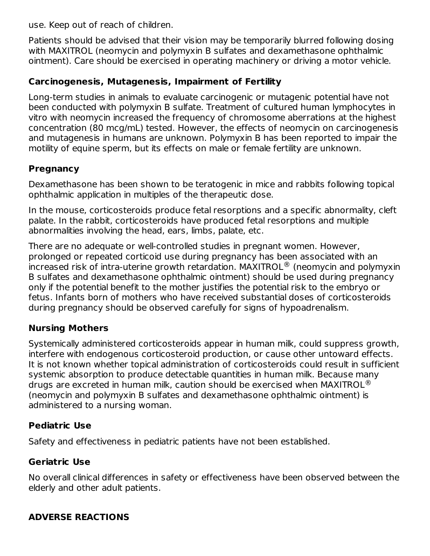use. Keep out of reach of children.

Patients should be advised that their vision may be temporarily blurred following dosing with MAXITROL (neomycin and polymyxin B sulfates and dexamethasone ophthalmic ointment). Care should be exercised in operating machinery or driving a motor vehicle.

#### **Carcinogenesis, Mutagenesis, Impairment of Fertility**

Long-term studies in animals to evaluate carcinogenic or mutagenic potential have not been conducted with polymyxin B sulfate. Treatment of cultured human lymphocytes in vitro with neomycin increased the frequency of chromosome aberrations at the highest concentration (80 mcg/mL) tested. However, the effects of neomycin on carcinogenesis and mutagenesis in humans are unknown. Polymyxin B has been reported to impair the motility of equine sperm, but its effects on male or female fertility are unknown.

#### **Pregnancy**

Dexamethasone has been shown to be teratogenic in mice and rabbits following topical ophthalmic application in multiples of the therapeutic dose.

In the mouse, corticosteroids produce fetal resorptions and a specific abnormality, cleft palate. In the rabbit, corticosteroids have produced fetal resorptions and multiple abnormalities involving the head, ears, limbs, palate, etc.

There are no adequate or well-controlled studies in pregnant women. However, prolonged or repeated corticoid use during pregnancy has been associated with an increased risk of intra-uterine growth retardation.  $MAXITROL<sup>®</sup>$  (neomycin and polymyxin B sulfates and dexamethasone ophthalmic ointment) should be used during pregnancy only if the potential benefit to the mother justifies the potential risk to the embryo or fetus. Infants born of mothers who have received substantial doses of corticosteroids during pregnancy should be observed carefully for signs of hypoadrenalism.

#### **Nursing Mothers**

Systemically administered corticosteroids appear in human milk, could suppress growth, interfere with endogenous corticosteroid production, or cause other untoward effects. It is not known whether topical administration of corticosteroids could result in sufficient systemic absorption to produce detectable quantities in human milk. Because many drugs are excreted in human milk, caution should be exercised when <code>MAXITROL $^\circledR$ </code> (neomycin and polymyxin B sulfates and dexamethasone ophthalmic ointment) is administered to a nursing woman.

#### **Pediatric Use**

Safety and effectiveness in pediatric patients have not been established.

#### **Geriatric Use**

No overall clinical differences in safety or effectiveness have been observed between the elderly and other adult patients.

## **ADVERSE REACTIONS**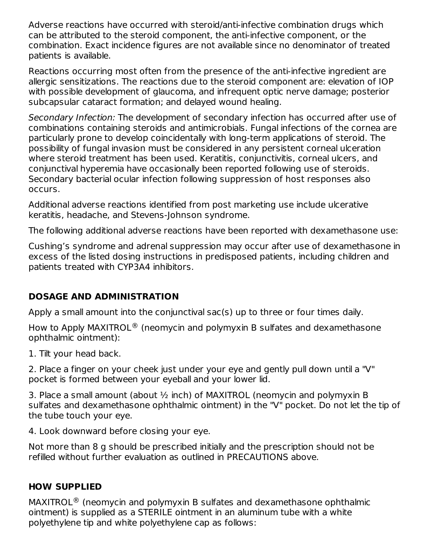Adverse reactions have occurred with steroid/anti-infective combination drugs which can be attributed to the steroid component, the anti-infective component, or the combination. Exact incidence figures are not available since no denominator of treated patients is available.

Reactions occurring most often from the presence of the anti-infective ingredient are allergic sensitizations. The reactions due to the steroid component are: elevation of IOP with possible development of glaucoma, and infrequent optic nerve damage; posterior subcapsular cataract formation; and delayed wound healing.

Secondary Infection: The development of secondary infection has occurred after use of combinations containing steroids and antimicrobials. Fungal infections of the cornea are particularly prone to develop coincidentally with long-term applications of steroid. The possibility of fungal invasion must be considered in any persistent corneal ulceration where steroid treatment has been used. Keratitis, conjunctivitis, corneal ulcers, and conjunctival hyperemia have occasionally been reported following use of steroids. Secondary bacterial ocular infection following suppression of host responses also occurs.

Additional adverse reactions identified from post marketing use include ulcerative keratitis, headache, and Stevens-Johnson syndrome.

The following additional adverse reactions have been reported with dexamethasone use:

Cushing's syndrome and adrenal suppression may occur after use of dexamethasone in excess of the listed dosing instructions in predisposed patients, including children and patients treated with CYP3A4 inhibitors.

## **DOSAGE AND ADMINISTRATION**

Apply a small amount into the conjunctival sac(s) up to three or four times daily.

How to Apply MAXITROL $^{\circledR}$  (neomycin and polymyxin B sulfates and dexamethasone ophthalmic ointment):

1. Tilt your head back.

2. Place a finger on your cheek just under your eye and gently pull down until a "V" pocket is formed between your eyeball and your lower lid.

3. Place a small amount (about  $\frac{1}{2}$  inch) of MAXITROL (neomycin and polymyxin B sulfates and dexamethasone ophthalmic ointment) in the "V" pocket. Do not let the tip of the tube touch your eye.

4. Look downward before closing your eye.

Not more than 8 g should be prescribed initially and the prescription should not be refilled without further evaluation as outlined in PRECAUTIONS above.

# **HOW SUPPLIED**

 $MAXITROL<sup>®</sup>$  (neomycin and polymyxin B sulfates and dexamethasone ophthalmic ointment) is supplied as a STERILE ointment in an aluminum tube with a white polyethylene tip and white polyethylene cap as follows: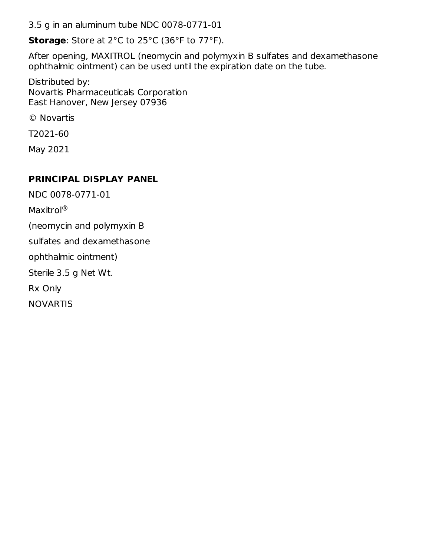3.5 g in an aluminum tube NDC 0078-0771-01

**Storage**: Store at 2°C to 25°C (36°F to 77°F).

After opening, MAXITROL (neomycin and polymyxin B sulfates and dexamethasone ophthalmic ointment) can be used until the expiration date on the tube.

Distributed by: Novartis Pharmaceuticals Corporation East Hanover, New Jersey 07936

© Novartis

T2021-60

May 2021

## **PRINCIPAL DISPLAY PANEL**

NDC 0078-0771-01 Maxitrol<sup>®</sup> (neomycin and polymyxin B sulfates and dexamethasone ophthalmic ointment) Sterile 3.5 g Net Wt. Rx Only NOVARTIS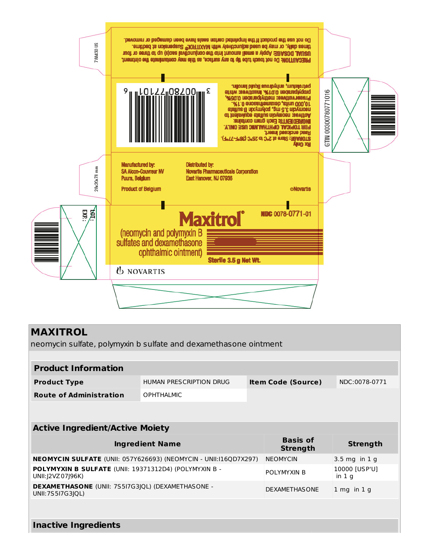

#### **MAXITROL**

**Inactive Ingredients**

neomycin sulfate, polymyxin b sulfate and dexamethasone ointment

| <b>Product Information</b>                                                    |                                                                         |  |                                    |                          |  |  |  |
|-------------------------------------------------------------------------------|-------------------------------------------------------------------------|--|------------------------------------|--------------------------|--|--|--|
| <b>Product Type</b>                                                           | HUMAN PRESCRIPTION DRUG                                                 |  | <b>Item Code (Source)</b>          | NDC:0078-0771            |  |  |  |
| <b>Route of Administration</b>                                                | <b>OPHTHALMIC</b>                                                       |  |                                    |                          |  |  |  |
|                                                                               |                                                                         |  |                                    |                          |  |  |  |
|                                                                               |                                                                         |  |                                    |                          |  |  |  |
| <b>Active Ingredient/Active Moiety</b>                                        |                                                                         |  |                                    |                          |  |  |  |
| <b>Ingredient Name</b>                                                        |                                                                         |  |                                    |                          |  |  |  |
|                                                                               |                                                                         |  | <b>Basis of</b><br><b>Strength</b> | <b>Strength</b>          |  |  |  |
|                                                                               | <b>NEOMYCIN SULFATE</b> (UNII: 057Y626693) (NEOMYCIN - UNII:116QD7X297) |  | <b>NEOMYCIN</b>                    | $3.5$ mg in 1 g          |  |  |  |
| POLYMYXIN B SULFATE (UNII: 19371312D4) (POLYMYXIN B -<br>UNII: (2VZ 07) 96K)  |                                                                         |  | <b>POLYMYXIN B</b>                 | 10000 [USP'U]<br>in $1g$ |  |  |  |
| <b>DEXAMETHASONE</b> (UNII: 7S517G3JQL) (DEXAMETHASONE -<br>UNII: 7S517G31QL) |                                                                         |  | <b>DEXAMETHASONE</b>               | $1$ mg in $1$ g          |  |  |  |
|                                                                               |                                                                         |  |                                    |                          |  |  |  |